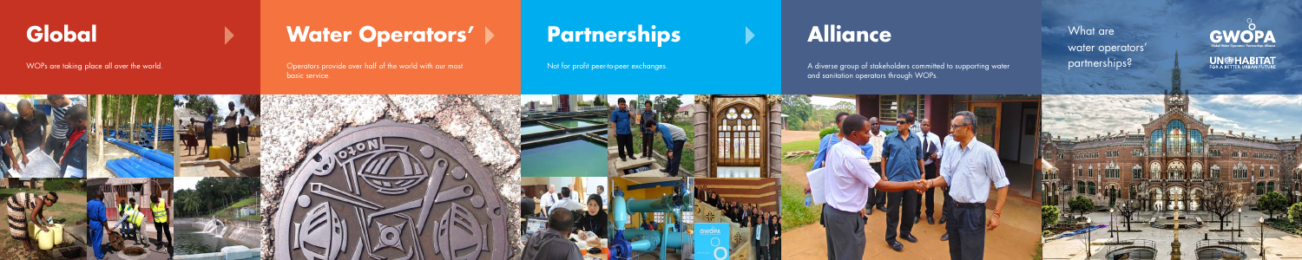

# **Global • • Water Operators' > Partnerships • Alliance What are GWOPA**

WOPs are taking place all over the world. The most of the world over the C perators provide over half of the world with our most basic service.





Not for profit peer-to-peer exchanges. A diverse group of stakeholders committed to supporting water and sanitation operators through WOPs.

What are water operators' partnerships?